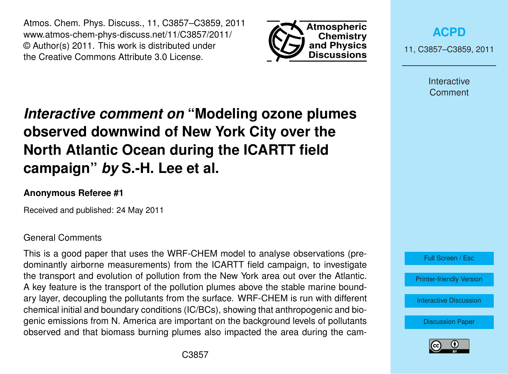Atmos. Chem. Phys. Discuss., 11, C3857–C3859, 2011 www.atmos-chem-phys-discuss.net/11/C3857/2011/ © Author(s) 2011. This work is distributed under the Creative Commons Attribute 3.0 License.



**[ACPD](http://www.atmos-chem-phys-discuss.net)**

11, C3857–C3859, 2011

Interactive **Comment** 

# *Interactive comment on* **"Modeling ozone plumes observed downwind of New York City over the North Atlantic Ocean during the ICARTT field campaign"** *by* **S.-H. Lee et al.**

# **Anonymous Referee #1**

Received and published: 24 May 2011

### General Comments

This is a good paper that uses the WRF-CHEM model to analyse observations (predominantly airborne measurements) from the ICARTT field campaign, to investigate the transport and evolution of pollution from the New York area out over the Atlantic. A key feature is the transport of the pollution plumes above the stable marine boundary layer, decoupling the pollutants from the surface. WRF-CHEM is run with different chemical initial and boundary conditions (IC/BCs), showing that anthropogenic and biogenic emissions from N. America are important on the background levels of pollutants observed and that biomass burning plumes also impacted the area during the cam-



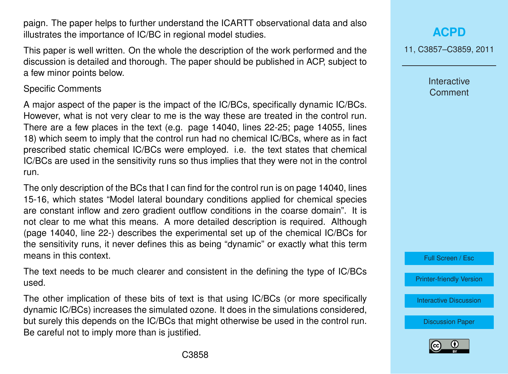paign. The paper helps to further understand the ICARTT observational data and also illustrates the importance of IC/BC in regional model studies.

This paper is well written. On the whole the description of the work performed and the discussion is detailed and thorough. The paper should be published in ACP, subject to a few minor points below.

#### Specific Comments

A major aspect of the paper is the impact of the IC/BCs, specifically dynamic IC/BCs. However, what is not very clear to me is the way these are treated in the control run. There are a few places in the text (e.g. page 14040, lines 22-25; page 14055, lines 18) which seem to imply that the control run had no chemical IC/BCs, where as in fact prescribed static chemical IC/BCs were employed. i.e. the text states that chemical IC/BCs are used in the sensitivity runs so thus implies that they were not in the control run.

The only description of the BCs that I can find for the control run is on page 14040, lines 15-16, which states "Model lateral boundary conditions applied for chemical species are constant inflow and zero gradient outflow conditions in the coarse domain". It is not clear to me what this means. A more detailed description is required. Although (page 14040, line 22-) describes the experimental set up of the chemical IC/BCs for the sensitivity runs, it never defines this as being "dynamic" or exactly what this term means in this context.

The text needs to be much clearer and consistent in the defining the type of IC/BCs used.

The other implication of these bits of text is that using IC/BCs (or more specifically dynamic IC/BCs) increases the simulated ozone. It does in the simulations considered, but surely this depends on the IC/BCs that might otherwise be used in the control run. Be careful not to imply more than is justified.

**[ACPD](http://www.atmos-chem-phys-discuss.net)**

11, C3857–C3859, 2011

Interactive **Comment** 

Full Screen / Esc

[Printer-friendly Version](http://www.atmos-chem-phys-discuss.net/11/C3857/2011/acpd-11-C3857-2011-print.pdf)

[Interactive Discussion](http://www.atmos-chem-phys-discuss.net/11/14031/2011/acpd-11-14031-2011-discussion.html)

[Discussion Paper](http://www.atmos-chem-phys-discuss.net/11/14031/2011/acpd-11-14031-2011.pdf)